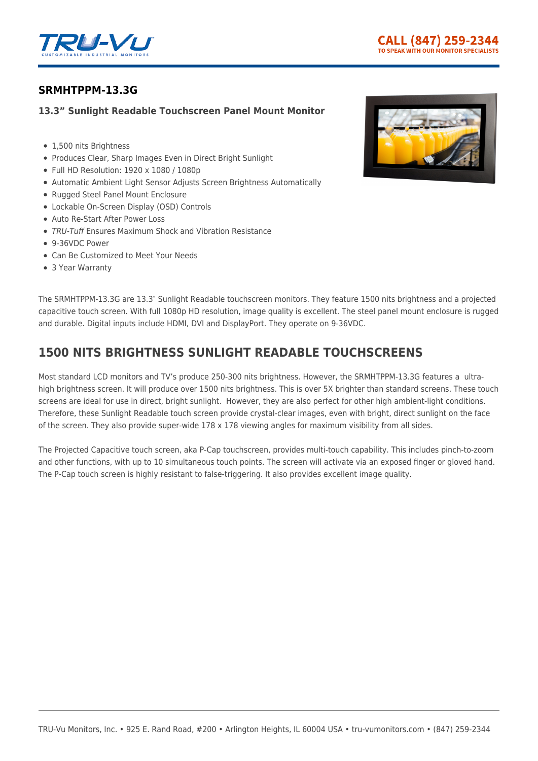

# **[SRMHTPPM-13.3G](https://tru-vumonitors.com/products/srmhtppm-13-3g/)**

## **13.3" Sunlight Readable Touchscreen Panel Mount Monitor**

- 1,500 nits Brightness
- Produces Clear, Sharp Images Even in Direct Bright Sunlight
- Full HD Resolution: 1920 x 1080 / 1080p
- Automatic Ambient Light Sensor Adjusts Screen Brightness Automatically
- Rugged Steel Panel Mount Enclosure
- Lockable On-Screen Display (OSD) Controls
- Auto Re-Start After Power Loss
- TRU-Tuff Ensures Maximum Shock and Vibration Resistance
- 9-36VDC Power
- Can Be Customized to Meet Your Needs
- 3 Year Warranty



The SRMHTPPM-13.3G are 13.3″ Sunlight Readable touchscreen monitors. They feature 1500 nits brightness and a projected capacitive touch screen. With full 1080p HD resolution, image quality is excellent. The steel panel mount enclosure is rugged and durable. Digital inputs include HDMI, DVI and DisplayPort. They operate on 9-36VDC.

# **1500 NITS BRIGHTNESS SUNLIGHT READABLE TOUCHSCREENS**

Most standard LCD monitors and TV's produce 250-300 nits brightness. However, the SRMHTPPM-13.3G features a ultrahigh brightness screen. It will produce over 1500 nits brightness. This is over 5X brighter than standard screens. These touch screens are ideal for use in direct, bright sunlight. However, they are also perfect for other high ambient-light conditions. Therefore, these Sunlight Readable touch screen provide crystal-clear images, even with bright, direct sunlight on the face of the screen. They also provide super-wide 178 x 178 viewing angles for maximum visibility from all sides.

The Projected Capacitive touch screen, aka P-Cap touchscreen, provides multi-touch capability. This includes pinch-to-zoom and other functions, with up to 10 simultaneous touch points. The screen will activate via an exposed finger or gloved hand. The P-Cap touch screen is highly resistant to false-triggering. It also provides excellent image quality.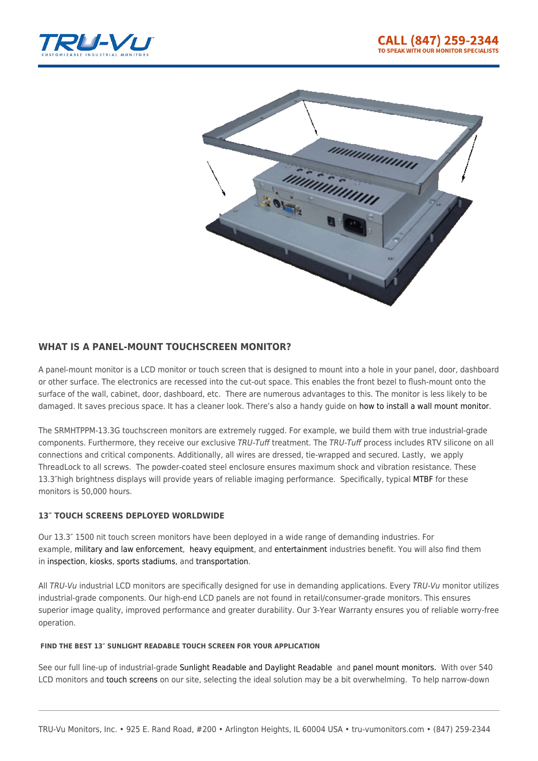



## **WHAT IS A PANEL-MOUNT TOUCHSCREEN MONITOR?**

A panel-mount monitor is a LCD monitor or touch screen that is designed to mount into a hole in your panel, door, dashboard or other surface. The electronics are recessed into the cut-out space. This enables the front bezel to flush-mount onto the surface of the wall, cabinet, door, dashboard, etc. There are numerous advantages to this. The monitor is less likely to be damaged. It saves precious space. It has a cleaner look. There's also a handy guide on [how to install a wall mount monitor](https://tru-vumonitors.com/wp-content/uploads/2020/02/How-To-Install-a-Panel-Mount-Monitor-v0120.pdf).

The SRMHTPPM-13.3G touchscreen monitors are extremely rugged. For example, we build them with true industrial-grade components. Furthermore, they receive our exclusive TRU-Tuff treatment. The TRU-Tuff process includes RTV silicone on all connections and critical components. Additionally, all wires are dressed, tie-wrapped and secured. Lastly, we apply ThreadLock to all screws. The powder-coated steel enclosure ensures maximum shock and vibration resistance. These 13.3″high brightness displays will provide years of reliable imaging performance. Specifically, typical [MTBF](https://en.wikipedia.org/wiki/Mean_time_between_failures) for these monitors is 50,000 hours.

## **13″ TOUCH SCREENS DEPLOYED WORLDWIDE**

Our 13.3″ 1500 nit touch screen monitors have been deployed in a wide range of demanding industries. For example, [military and law enforcement](https://tru-vumonitors.com/industries/military/), [heavy equipment,](https://tru-vumonitors.com/industries/cranes-heavy-equipment/) and [entertainment](https://tru-vumonitors.com/industries/sports-stadiums/) industries benefit. You will also find them in [inspection](https://tru-vumonitors.com/industries/automation-machine-vision/), [kiosks](https://tru-vumonitors.com/industries/kiosks-vending/), [sports stadiums](https://tru-vumonitors.com/industries/sports-stadiums/), and [transportation.](https://tru-vumonitors.com/industries/mass-transit/)

All TRU-Vu industrial LCD monitors are specifically designed for use in demanding applications. Every TRU-Vu monitor utilizes industrial-grade components. Our high-end LCD panels are not found in retail/consumer-grade monitors. This ensures superior image quality, improved performance and greater durability. Our 3-Year Warranty ensures you of reliable worry-free operation.

#### **FIND THE BEST 13″ SUNLIGHT READABLE TOUCH SCREEN FOR YOUR APPLICATION**

See our full line-up of industrial-grade [Sunlight Readable and Daylight Readable](https://tru-vumonitors.com/sunlight-readable-monitors/) and [panel mount monitors.](https://tru-vumonitors.com/panel-mount-monitors/) With over 540 LCD monitors and [touch screens](https://tru-vumonitors.com/touch-screen-monitors/) on our site, selecting the ideal solution may be a bit overwhelming. To help narrow-down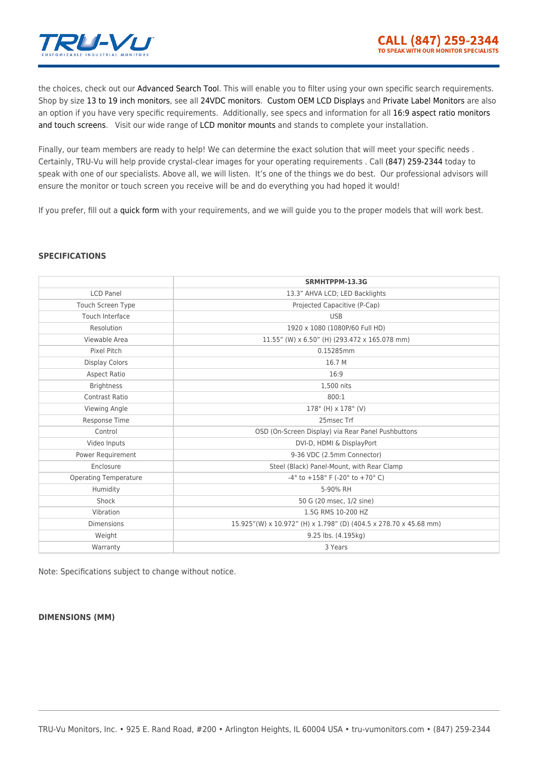

the choices, check out our [Advanced Search Tool](https://tru-vumonitors.com/products/). This will enable you to filter using your own specific search requirements. Shop by size [13 to 19 inch monitors](https://tru-vumonitors.com/13in-to-19in-monitors/), see all [24VDC monitors](https://tru-vumonitors.com/24vdc-monitors/). [Custom OEM LCD Displays](https://tru-vumonitors.com/custom-monitors/) and [Private Label Monitors](https://tru-vumonitors.com/private-label-monitors/) are also an option if you have very specific requirements. Additionally, see specs and information for all [16:9 aspect ratio monitors](https://tru-vumonitors.com/16by9-monitors/) [and touch screens](https://tru-vumonitors.com/16by9-monitors/). Visit our wide range of [LCD monitor mounts](https://tru-vumonitors.com/accessories/mounting-brackets-bases/) and stands to complete your installation.

Finally, our team members are ready to help! We can determine the exact solution that will meet your specific needs. Certainly, TRU-Vu will help provide crystal-clear images for your operating requirements . Call [\(847\) 259-2344](#page--1-0) today to speak with one of our specialists. Above all, we will listen. It's one of the things we do best. Our professional advisors will ensure the monitor or touch screen you receive will be and do everything you had hoped it would!

If you prefer, fill out a [quick form](https://tru-vumonitors.com/request-quote/) with your requirements, and we will guide you to the proper models that will work best.

#### **SPECIFICATIONS**

|                              | SRMHTPPM-13.3G                                                       |
|------------------------------|----------------------------------------------------------------------|
| <b>LCD Panel</b>             | 13.3" AHVA LCD; LED Backlights                                       |
| Touch Screen Type            | Projected Capacitive (P-Cap)                                         |
| Touch Interface              | <b>USB</b>                                                           |
| Resolution                   | 1920 x 1080 (1080P/60 Full HD)                                       |
| Viewable Area                | 11.55" (W) x 6.50" (H) (293.472 x 165.078 mm)                        |
| Pixel Pitch                  | 0.15285mm                                                            |
| <b>Display Colors</b>        | 16.7 M                                                               |
| <b>Aspect Ratio</b>          | 16:9                                                                 |
| <b>Brightness</b>            | 1,500 nits                                                           |
| <b>Contrast Ratio</b>        | 800:1                                                                |
| Viewing Angle                | $178^{\circ}$ (H) x $178^{\circ}$ (V)                                |
| Response Time                | 25msec Trf                                                           |
| Control                      | OSD (On-Screen Display) via Rear Panel Pushbuttons                   |
| Video Inputs                 | DVI-D, HDMI & DisplayPort                                            |
| Power Requirement            | 9-36 VDC (2.5mm Connector)                                           |
| Enclosure                    | Steel (Black) Panel-Mount, with Rear Clamp                           |
| <b>Operating Temperature</b> | $-4^{\circ}$ to $+158^{\circ}$ F ( $-20^{\circ}$ to $+70^{\circ}$ C) |
| Humidity                     | 5-90% RH                                                             |
| Shock                        | 50 G (20 msec, 1/2 sine)                                             |
| Vibration                    | 1.5G RMS 10-200 HZ                                                   |
| <b>Dimensions</b>            | 15.925"(W) x 10.972" (H) x 1.798" (D) (404.5 x 278.70 x 45.68 mm)    |
| Weight                       | 9.25 lbs. (4.195kg)                                                  |
| Warranty                     | 3 Years                                                              |

Note: Specifications subject to change without notice.

#### **DIMENSIONS (MM)**